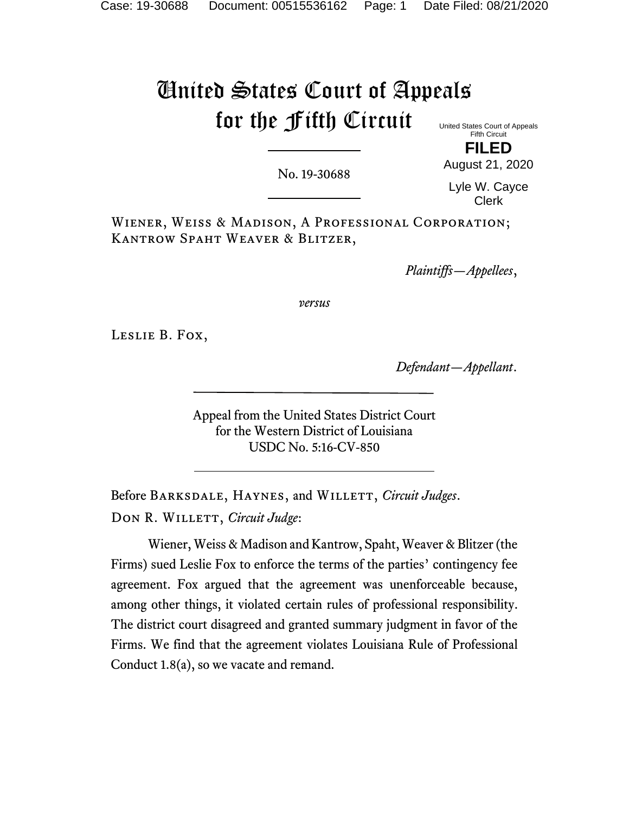# United States Court of Appeals for the Fifth Circuit

United States Court of Appeals Fifth Circuit **FILED**

No. 19-30688

August 21, 2020 Lyle W. Cayce

Clerk

Wiener, Weiss & Madison, A Professional Corporation; Kantrow Spaht Weaver & Blitzer,

*Plaintiffs—Appellees*,

*versus*

Leslie B. Fox,

*Defendant—Appellant*.

Appeal from the United States District Court for the Western District of Louisiana USDC No. 5:16-CV-850

Before Barksdale, Haynes, and Willett, *Circuit Judges*. DON R. WILLETT, *Circuit Judge*:

Wiener, Weiss & Madison and Kantrow, Spaht, Weaver & Blitzer (the Firms) sued Leslie Fox to enforce the terms of the parties' contingency fee agreement. Fox argued that the agreement was unenforceable because, among other things, it violated certain rules of professional responsibility. The district court disagreed and granted summary judgment in favor of the Firms. We find that the agreement violates Louisiana Rule of Professional Conduct 1.8(a), so we vacate and remand.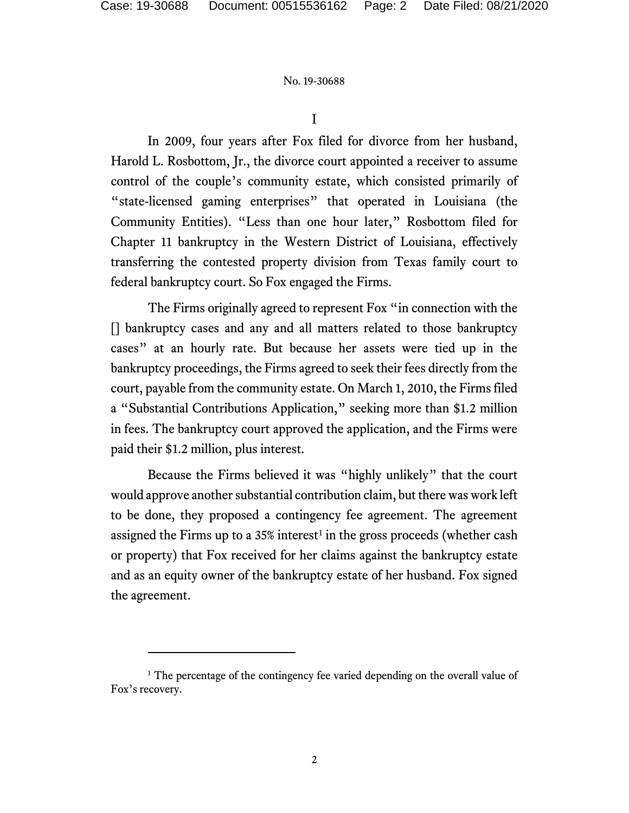I

In 2009, four years after Fox filed for divorce from her husband, Harold L. Rosbottom, Jr., the divorce court appointed a receiver to assume control of the couple's community estate, which consisted primarily of "state-licensed gaming enterprises" that operated in Louisiana (the Community Entities). "Less than one hour later," Rosbottom filed for Chapter 11 bankruptcy in the Western District of Louisiana, effectively transferring the contested property division from Texas family court to federal bankruptcy court. So Fox engaged the Firms.

The Firms originally agreed to represent Fox "in connection with the [] bankruptcy cases and any and all matters related to those bankruptcy cases" at an hourly rate. But because her assets were tied up in the bankruptcy proceedings, the Firms agreed to seek their fees directly from the court, payable from the community estate. On March 1, 2010, the Firms filed a "Substantial Contributions Application," seeking more than \$1.2 million in fees. The bankruptcy court approved the application, and the Firms were paid their \$1.2 million, plus interest.

Because the Firms believed it was "highly unlikely" that the court would approve another substantial contribution claim, but there was work left to be done, they proposed a contingency fee agreement. The agreement assigned the Firms up to a  $35\%$  interest<sup>[1](#page-1-0)</sup> in the gross proceeds (whether cash or property) that Fox received for her claims against the bankruptcy estate and as an equity owner of the bankruptcy estate of her husband. Fox signed the agreement.

<span id="page-1-0"></span><sup>&</sup>lt;sup>1</sup> The percentage of the contingency fee varied depending on the overall value of Fox's recovery.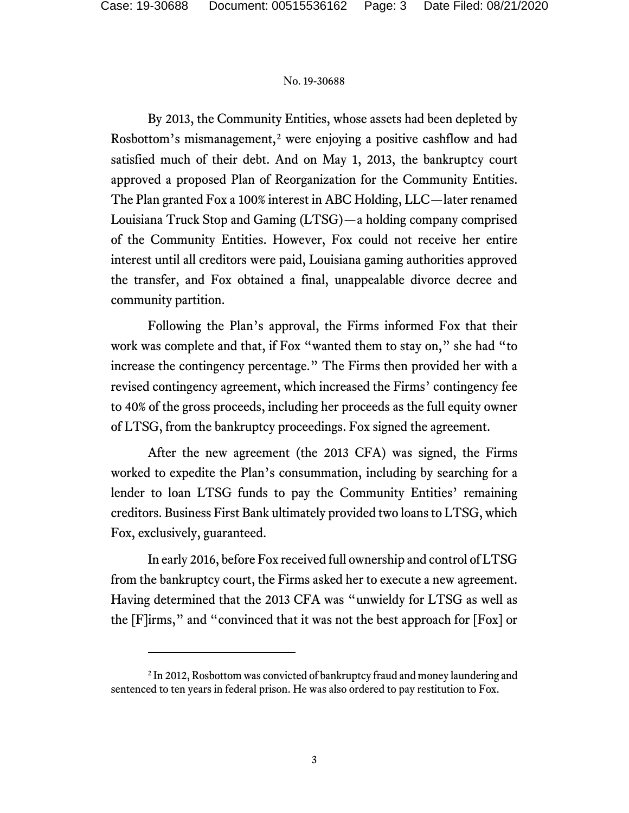By 2013, the Community Entities, whose assets had been depleted by Rosbottom's mismanagement,<sup>[2](#page-2-0)</sup> were enjoying a positive cashflow and had satisfied much of their debt. And on May 1, 2013, the bankruptcy court approved a proposed Plan of Reorganization for the Community Entities. The Plan granted Fox a 100% interest in ABC Holding, LLC—later renamed Louisiana Truck Stop and Gaming (LTSG)—a holding company comprised of the Community Entities. However, Fox could not receive her entire interest until all creditors were paid, Louisiana gaming authorities approved the transfer, and Fox obtained a final, unappealable divorce decree and community partition.

Following the Plan's approval, the Firms informed Fox that their work was complete and that, if Fox "wanted them to stay on," she had "to increase the contingency percentage." The Firms then provided her with a revised contingency agreement, which increased the Firms' contingency fee to 40% of the gross proceeds, including her proceeds as the full equity owner of LTSG, from the bankruptcy proceedings. Fox signed the agreement.

After the new agreement (the 2013 CFA) was signed, the Firms worked to expedite the Plan's consummation, including by searching for a lender to loan LTSG funds to pay the Community Entities' remaining creditors. Business First Bank ultimately provided two loans to LTSG, which Fox, exclusively, guaranteed.

In early 2016, before Fox received full ownership and control of LTSG from the bankruptcy court, the Firms asked her to execute a new agreement. Having determined that the 2013 CFA was "unwieldy for LTSG as well as the [F]irms," and "convinced that it was not the best approach for [Fox] or

<span id="page-2-0"></span><sup>&</sup>lt;sup>2</sup> In 2012, Rosbottom was convicted of bankruptcy fraud and money laundering and sentenced to ten years in federal prison. He was also ordered to pay restitution to Fox.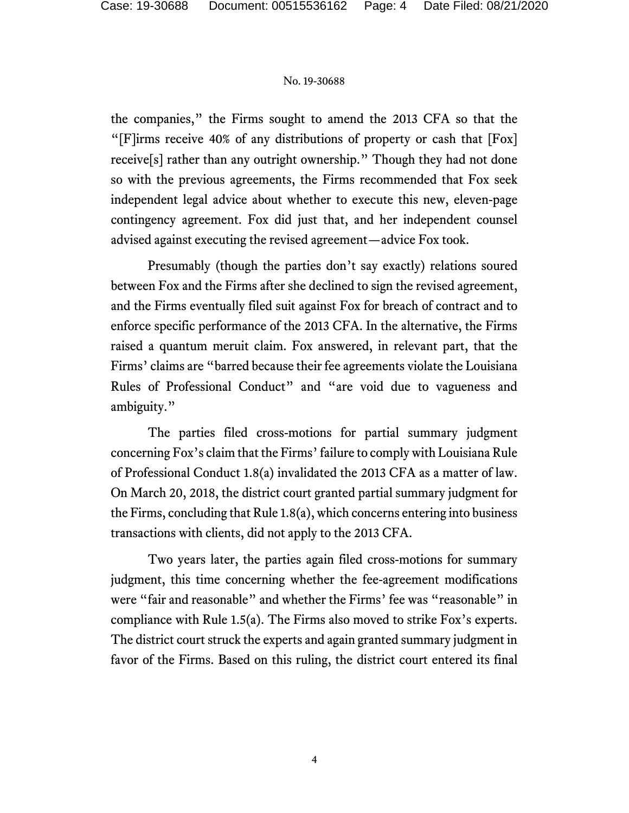the companies," the Firms sought to amend the 2013 CFA so that the "[F]irms receive 40% of any distributions of property or cash that [Fox] receive[s] rather than any outright ownership." Though they had not done so with the previous agreements, the Firms recommended that Fox seek independent legal advice about whether to execute this new, eleven-page contingency agreement. Fox did just that, and her independent counsel advised against executing the revised agreement—advice Fox took.

Presumably (though the parties don't say exactly) relations soured between Fox and the Firms after she declined to sign the revised agreement, and the Firms eventually filed suit against Fox for breach of contract and to enforce specific performance of the 2013 CFA. In the alternative, the Firms raised a quantum meruit claim. Fox answered, in relevant part, that the Firms' claims are "barred because their fee agreements violate the Louisiana Rules of Professional Conduct" and "are void due to vagueness and ambiguity."

The parties filed cross-motions for partial summary judgment concerning Fox's claim that the Firms'failure to comply with Louisiana Rule of Professional Conduct 1.8(a) invalidated the 2013 CFA as a matter of law. On March 20, 2018, the district court granted partial summary judgment for the Firms, concluding that Rule 1.8(a), which concerns entering into business transactions with clients, did not apply to the 2013 CFA.

Two years later, the parties again filed cross-motions for summary judgment, this time concerning whether the fee-agreement modifications were "fair and reasonable" and whether the Firms' fee was "reasonable" in compliance with Rule 1.5(a). The Firms also moved to strike Fox's experts. The district court struck the experts and again granted summary judgment in favor of the Firms. Based on this ruling, the district court entered its final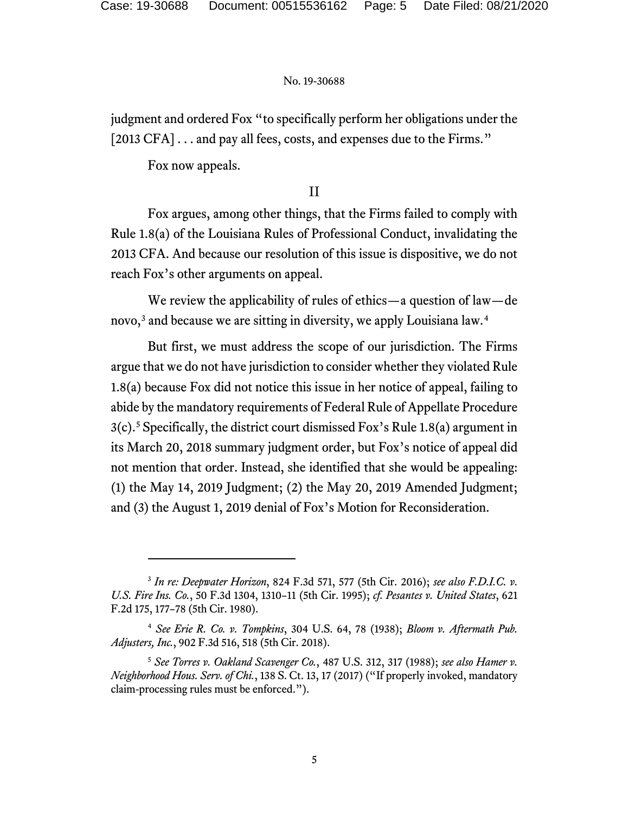judgment and ordered Fox "to specifically perform her obligations under the [2013 CFA] . . . and pay all fees, costs, and expenses due to the Firms."

Fox now appeals.

# II

Fox argues, among other things, that the Firms failed to comply with Rule 1.8(a) of the Louisiana Rules of Professional Conduct, invalidating the 2013 CFA. And because our resolution of this issue is dispositive, we do not reach Fox's other arguments on appeal.

We review the applicability of rules of ethics—a question of law—de novo,<sup>[3](#page-4-0)</sup> and because we are sitting in diversity, we apply Louisiana law.<sup>[4](#page-4-1)</sup>

But first, we must address the scope of our jurisdiction. The Firms argue that we do not have jurisdiction to consider whether they violated Rule 1.8(a) because Fox did not notice this issue in her notice of appeal, failing to abide by the mandatory requirements of Federal Rule of Appellate Procedure 3(c). [5](#page-4-2) Specifically, the district court dismissed Fox's Rule 1.8(a) argument in its March 20, 2018 summary judgment order, but Fox's notice of appeal did not mention that order. Instead, she identified that she would be appealing: (1) the May 14, 2019 Judgment; (2) the May 20, 2019 Amended Judgment; and (3) the August 1, 2019 denial of Fox's Motion for Reconsideration.

<span id="page-4-0"></span><sup>3</sup> *In re: Deepwater Horizon*, 824 F.3d 571, 577 (5th Cir. 2016); *see also F.D.I.C. v. U.S. Fire Ins. Co.*, 50 F.3d 1304, 1310–11 (5th Cir. 1995); *cf. Pesantes v. United States*, 621 F.2d 175, 177–78 (5th Cir. 1980).

<span id="page-4-1"></span><sup>4</sup> *See Erie R. Co. v. Tompkins*, 304 U.S. 64, 78 (1938); *Bloom v. Aftermath Pub. Adjusters, Inc.*, 902 F.3d 516, 518 (5th Cir. 2018).

<span id="page-4-2"></span><sup>5</sup> *See Torres v. Oakland Scavenger Co.*, 487 U.S. 312, 317 (1988); *see also Hamer v. Neighborhood Hous. Serv. of Chi.*, 138 S. Ct. 13, 17 (2017) ("If properly invoked, mandatory claim-processing rules must be enforced.").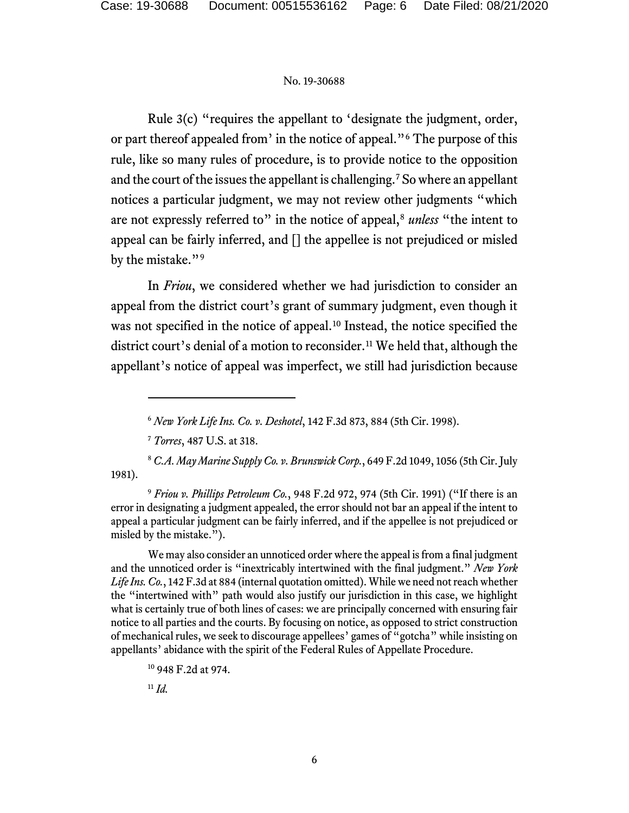Rule 3(c) "requires the appellant to 'designate the judgment, order, or part thereof appealed from' in the notice of appeal."[6](#page-5-0) The purpose of this rule, like so many rules of procedure, is to provide notice to the opposition and the court of the issues the appellant is challenging.<sup>[7](#page-5-1)</sup> So where an appellant notices a particular judgment, we may not review other judgments "which are not expressly referred to" in the notice of appeal,<sup>[8](#page-5-2)</sup> *unless* "the intent to appeal can be fairly inferred, and [] the appellee is not prejudiced or misled by the mistake."<sup>[9](#page-5-3)</sup>

In *Friou*, we considered whether we had jurisdiction to consider an appeal from the district court's grant of summary judgment, even though it was not specified in the notice of appeal.<sup>[10](#page-5-4)</sup> Instead, the notice specified the district court's denial of a motion to reconsider.<sup>[11](#page-5-5)</sup> We held that, although the appellant's notice of appeal was imperfect, we still had jurisdiction because

<span id="page-5-5"></span><sup>11</sup> *Id.*

<sup>6</sup> *New York Life Ins. Co. v. Deshotel*, 142 F.3d 873, 884 (5th Cir. 1998).

<sup>7</sup> *Torres*, 487 U.S. at 318.

<span id="page-5-2"></span><span id="page-5-1"></span><span id="page-5-0"></span><sup>8</sup> *C.A. May Marine Supply Co. v. Brunswick Corp.*, 649 F.2d 1049, 1056 (5th Cir. July 1981).

<span id="page-5-3"></span><sup>9</sup> *Friou v. Phillips Petroleum Co.*, 948 F.2d 972, 974 (5th Cir. 1991) ("If there is an error in designating a judgment appealed, the error should not bar an appeal if the intent to appeal a particular judgment can be fairly inferred, and if the appellee is not prejudiced or misled by the mistake.").

We may also consider an unnoticed order where the appeal is from a final judgment and the unnoticed order is "inextricably intertwined with the final judgment." *New York Life Ins. Co.*, 142 F.3d at 884 (internal quotation omitted). While we need not reach whether the "intertwined with" path would also justify our jurisdiction in this case, we highlight what is certainly true of both lines of cases: we are principally concerned with ensuring fair notice to all parties and the courts. By focusing on notice, as opposed to strict construction of mechanical rules, we seek to discourage appellees' games of "gotcha" while insisting on appellants' abidance with the spirit of the Federal Rules of Appellate Procedure.

<span id="page-5-4"></span><sup>10</sup> 948 F.2d at 974.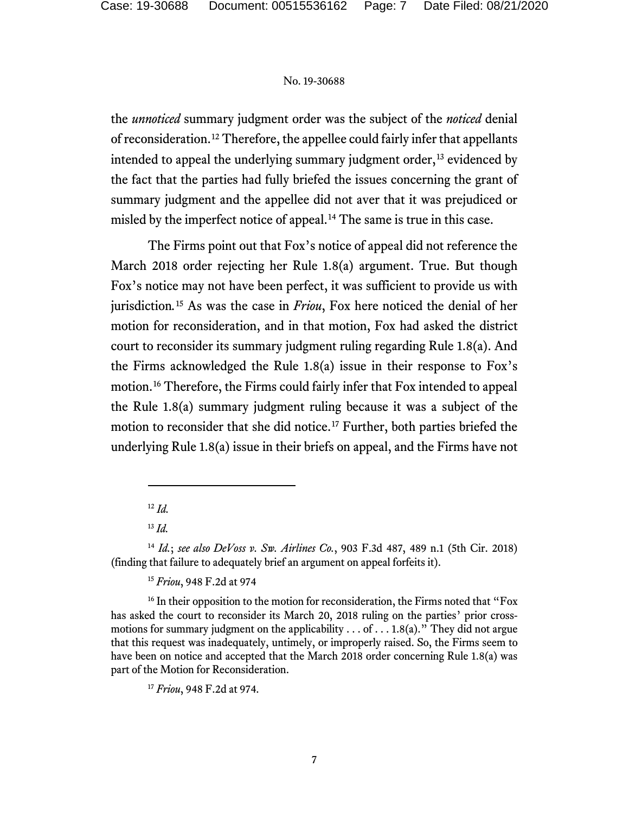the *unnoticed* summary judgment order was the subject of the *noticed* denial of reconsideration.[12](#page-6-0) Therefore, the appellee could fairly infer that appellants intended to appeal the underlying summary judgment order,<sup>[13](#page-6-1)</sup> evidenced by the fact that the parties had fully briefed the issues concerning the grant of summary judgment and the appellee did not aver that it was prejudiced or misled by the imperfect notice of appeal. [14](#page-6-2) The same is true in this case.

The Firms point out that Fox's notice of appeal did not reference the March 2018 order rejecting her Rule 1.8(a) argument. True. But though Fox's notice may not have been perfect, it was sufficient to provide us with jurisdiction*.* [15](#page-6-3) As was the case in *Friou*, Fox here noticed the denial of her motion for reconsideration, and in that motion, Fox had asked the district court to reconsider its summary judgment ruling regarding Rule 1.8(a). And the Firms acknowledged the Rule 1.8(a) issue in their response to Fox's motion.[16](#page-6-4) Therefore, the Firms could fairly infer that Fox intended to appeal the Rule 1.8(a) summary judgment ruling because it was a subject of the motion to reconsider that she did notice.[17](#page-6-5) Further, both parties briefed the underlying Rule 1.8(a) issue in their briefs on appeal, and the Firms have not

<sup>12</sup> *Id.*

<sup>13</sup> *Id.*

<span id="page-6-2"></span><span id="page-6-1"></span><span id="page-6-0"></span><sup>14</sup> *Id.*; *see also DeVoss v. Sw. Airlines Co.*, 903 F.3d 487, 489 n.1 (5th Cir. 2018) (finding that failure to adequately brief an argument on appeal forfeits it).

<sup>15</sup> *Friou*, 948 F.2d at 974

<span id="page-6-5"></span><span id="page-6-4"></span><span id="page-6-3"></span><sup>&</sup>lt;sup>16</sup> In their opposition to the motion for reconsideration, the Firms noted that "Fox" has asked the court to reconsider its March 20, 2018 ruling on the parties' prior crossmotions for summary judgment on the applicability  $\dots$  of  $\dots$  1.8(a)." They did not argue that this request was inadequately, untimely, or improperly raised. So, the Firms seem to have been on notice and accepted that the March 2018 order concerning Rule 1.8(a) was part of the Motion for Reconsideration.

<sup>17</sup> *Friou*, 948 F.2d at 974.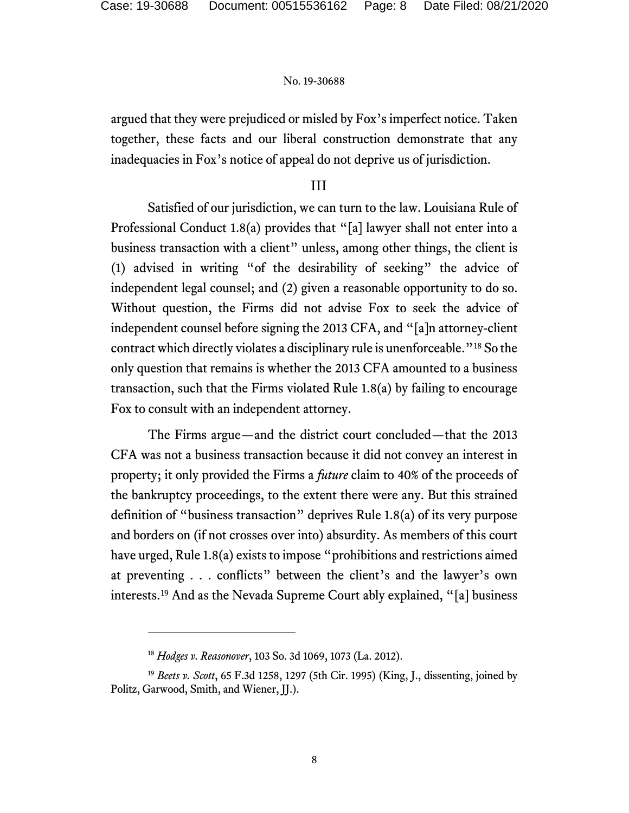argued that they were prejudiced or misled by Fox's imperfect notice. Taken together, these facts and our liberal construction demonstrate that any inadequacies in Fox's notice of appeal do not deprive us of jurisdiction.

## III

Satisfied of our jurisdiction, we can turn to the law. Louisiana Rule of Professional Conduct 1.8(a) provides that "[a] lawyer shall not enter into a business transaction with a client" unless, among other things, the client is (1) advised in writing "of the desirability of seeking" the advice of independent legal counsel; and (2) given a reasonable opportunity to do so. Without question, the Firms did not advise Fox to seek the advice of independent counsel before signing the 2013 CFA, and "[a]n attorney-client contract which directly violates a disciplinary rule is unenforceable."[18](#page-7-0) So the only question that remains is whether the 2013 CFA amounted to a business transaction, such that the Firms violated Rule 1.8(a) by failing to encourage Fox to consult with an independent attorney.

The Firms argue—and the district court concluded—that the 2013 CFA was not a business transaction because it did not convey an interest in property; it only provided the Firms a *future* claim to 40% of the proceeds of the bankruptcy proceedings, to the extent there were any. But this strained definition of "business transaction" deprives Rule 1.8(a) of its very purpose and borders on (if not crosses over into) absurdity. As members of this court have urged, Rule 1.8(a) exists to impose "prohibitions and restrictions aimed at preventing . . . conflicts" between the client's and the lawyer's own interests.[19](#page-7-1) And as the Nevada Supreme Court ably explained, "[a] business

<sup>18</sup> *Hodges v. Reasonover*, 103 So. 3d 1069, 1073 (La. 2012).

<span id="page-7-1"></span><span id="page-7-0"></span><sup>19</sup> *Beets v. Scott*, 65 F.3d 1258, 1297 (5th Cir. 1995) (King, J., dissenting, joined by Politz, Garwood, Smith, and Wiener, JJ.).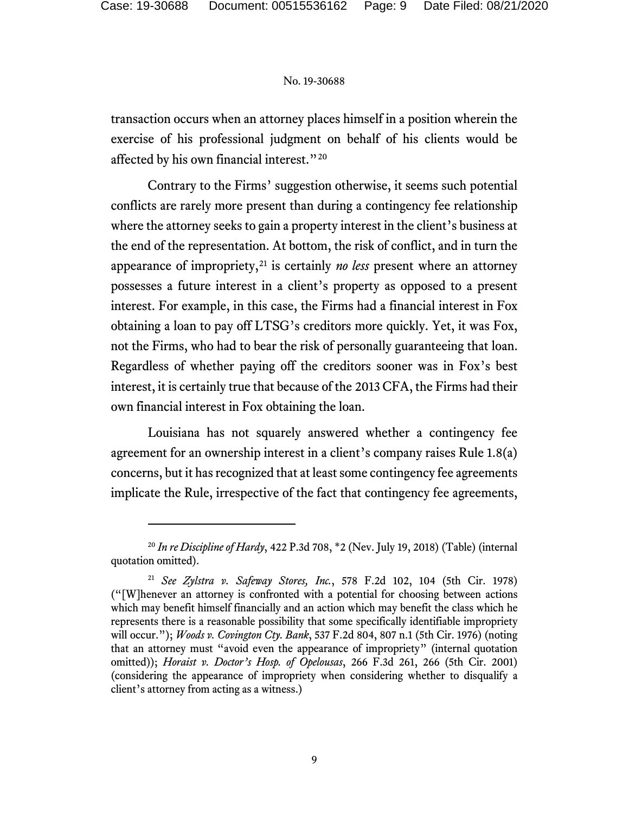transaction occurs when an attorney places himself in a position wherein the exercise of his professional judgment on behalf of his clients would be affected by his own financial interest."<sup>[20](#page-8-0)</sup>

Contrary to the Firms' suggestion otherwise, it seems such potential conflicts are rarely more present than during a contingency fee relationship where the attorney seeks to gain a property interest in the client's business at the end of the representation. At bottom, the risk of conflict, and in turn the appearance of impropriety,  $21$  is certainly *no less* present where an attorney possesses a future interest in a client's property as opposed to a present interest. For example, in this case, the Firms had a financial interest in Fox obtaining a loan to pay off LTSG's creditors more quickly. Yet, it was Fox, not the Firms, who had to bear the risk of personally guaranteeing that loan. Regardless of whether paying off the creditors sooner was in Fox's best interest, it is certainly true that because of the 2013 CFA, the Firms had their own financial interest in Fox obtaining the loan.

Louisiana has not squarely answered whether a contingency fee agreement for an ownership interest in a client's company raises Rule 1.8(a) concerns, but it has recognized that at least some contingency fee agreements implicate the Rule, irrespective of the fact that contingency fee agreements,

<span id="page-8-0"></span><sup>20</sup> *In re Discipline of Hardy*, 422 P.3d 708, \*2 (Nev. July 19, 2018) (Table) (internal quotation omitted).

<span id="page-8-1"></span><sup>21</sup> *See Zylstra v. Safeway Stores, Inc.*, 578 F.2d 102, 104 (5th Cir. 1978) ("[W]henever an attorney is confronted with a potential for choosing between actions which may benefit himself financially and an action which may benefit the class which he represents there is a reasonable possibility that some specifically identifiable impropriety will occur."); *Woods v. Covington Cty. Bank*, 537 F.2d 804, 807 n.1 (5th Cir. 1976) (noting that an attorney must "avoid even the appearance of impropriety" (internal quotation omitted)); *Horaist v. Doctor's Hosp. of Opelousas*, 266 F.3d 261, 266 (5th Cir. 2001) (considering the appearance of impropriety when considering whether to disqualify a client's attorney from acting as a witness.)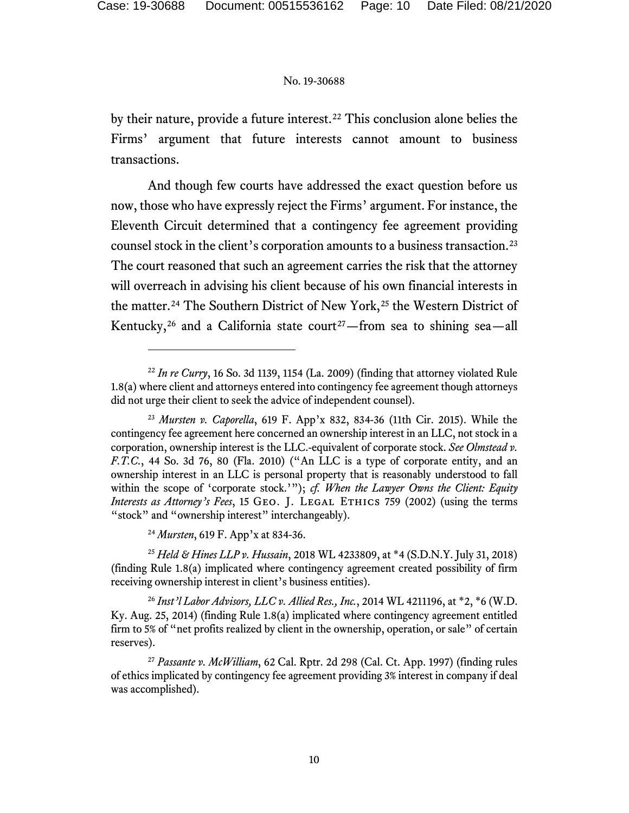by their nature, provide a future interest. [22](#page-9-0) This conclusion alone belies the Firms' argument that future interests cannot amount to business transactions.

And though few courts have addressed the exact question before us now, those who have expressly reject the Firms' argument. For instance, the Eleventh Circuit determined that a contingency fee agreement providing counsel stock in the client's corporation amounts to a business transaction. [23](#page-9-1) The court reasoned that such an agreement carries the risk that the attorney will overreach in advising his client because of his own financial interests in the matter.<sup>[24](#page-9-2)</sup> The Southern District of New York,<sup>[25](#page-9-3)</sup> the Western District of Kentucky,<sup>[26](#page-9-4)</sup> and a California state court<sup>27</sup>—from sea to shining sea—all

<sup>24</sup> *Mursten*, 619 F. App'x at 834-36.

<span id="page-9-3"></span><span id="page-9-2"></span><sup>25</sup> *Held & Hines LLP v. Hussain*, 2018 WL 4233809, at \*4 (S.D.N.Y. July 31, 2018) (finding Rule 1.8(a) implicated where contingency agreement created possibility of firm receiving ownership interest in client's business entities).

<span id="page-9-4"></span><sup>26</sup> *Inst'l Labor Advisors, LLC v. Allied Res., Inc.*, 2014 WL 4211196, at \*2, \*6 (W.D. Ky. Aug. 25, 2014) (finding Rule 1.8(a) implicated where contingency agreement entitled firm to 5% of "net profits realized by client in the ownership, operation, or sale" of certain reserves).

<span id="page-9-5"></span><sup>27</sup> *Passante v. McWilliam*, 62 Cal. Rptr. 2d 298 (Cal. Ct. App. 1997) (finding rules of ethics implicated by contingency fee agreement providing 3% interest in company if deal was accomplished).

<span id="page-9-0"></span> $22$  *In re Curry*, 16 So. 3d 1139, 1154 (La. 2009) (finding that attorney violated Rule 1.8(a) where client and attorneys entered into contingency fee agreement though attorneys did not urge their client to seek the advice of independent counsel).

<span id="page-9-1"></span><sup>23</sup> *Mursten v. Caporella*, 619 F. App'x 832, 834-36 (11th Cir. 2015). While the contingency fee agreement here concerned an ownership interest in an LLC, not stock in a corporation, ownership interest is the LLC.-equivalent of corporate stock. *See Olmstead v. F.T.C.*, 44 So. 3d 76, 80 (Fla. 2010) ("An LLC is a type of corporate entity, and an ownership interest in an LLC is personal property that is reasonably understood to fall within the scope of 'corporate stock.'"); *cf. When the Lawyer Owns the Client: Equity Interests as Attorney's Fees*, 15 GEO. J. LEGAL ETHICS 759 (2002) (using the terms "stock" and "ownership interest" interchangeably).